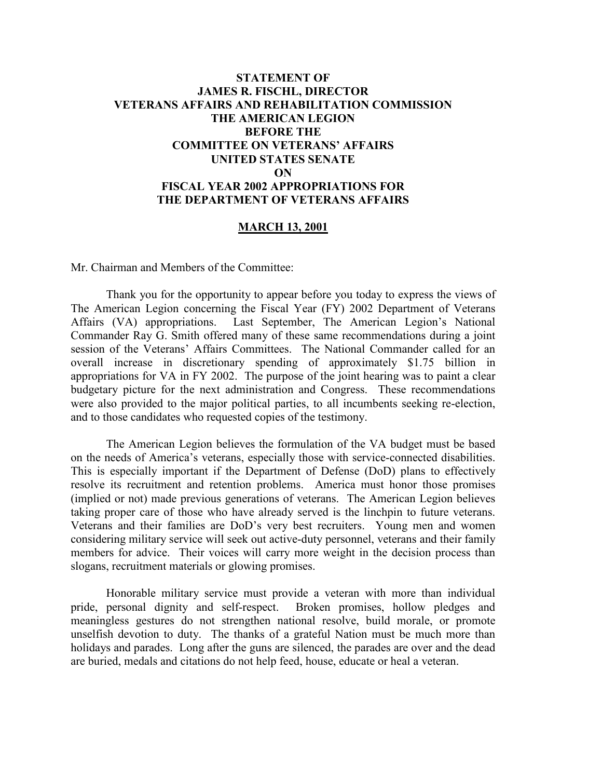## **STATEMENT OF JAMES R. FISCHL, DIRECTOR VETERANS AFFAIRS AND REHABILITATION COMMISSION THE AMERICAN LEGION BEFORE THE COMMITTEE ON VETERANS' AFFAIRS UNITED STATES SENATE ON FISCAL YEAR 2002 APPROPRIATIONS FOR THE DEPARTMENT OF VETERANS AFFAIRS**

#### **MARCH 13, 2001**

Mr. Chairman and Members of the Committee:

Thank you for the opportunity to appear before you today to express the views of The American Legion concerning the Fiscal Year (FY) 2002 Department of Veterans Affairs (VA) appropriations. Last September, The American Legion's National Commander Ray G. Smith offered many of these same recommendations during a joint session of the Veterans' Affairs Committees. The National Commander called for an overall increase in discretionary spending of approximately \$1.75 billion in appropriations for VA in FY 2002. The purpose of the joint hearing was to paint a clear budgetary picture for the next administration and Congress. These recommendations were also provided to the major political parties, to all incumbents seeking re-election, and to those candidates who requested copies of the testimony.

The American Legion believes the formulation of the VA budget must be based on the needs of America's veterans, especially those with service-connected disabilities. This is especially important if the Department of Defense (DoD) plans to effectively resolve its recruitment and retention problems. America must honor those promises (implied or not) made previous generations of veterans. The American Legion believes taking proper care of those who have already served is the linchpin to future veterans. Veterans and their families are DoD's very best recruiters. Young men and women considering military service will seek out active-duty personnel, veterans and their family members for advice. Their voices will carry more weight in the decision process than slogans, recruitment materials or glowing promises.

Honorable military service must provide a veteran with more than individual pride, personal dignity and self-respect. Broken promises, hollow pledges and meaningless gestures do not strengthen national resolve, build morale, or promote unselfish devotion to duty. The thanks of a grateful Nation must be much more than holidays and parades. Long after the guns are silenced, the parades are over and the dead are buried, medals and citations do not help feed, house, educate or heal a veteran.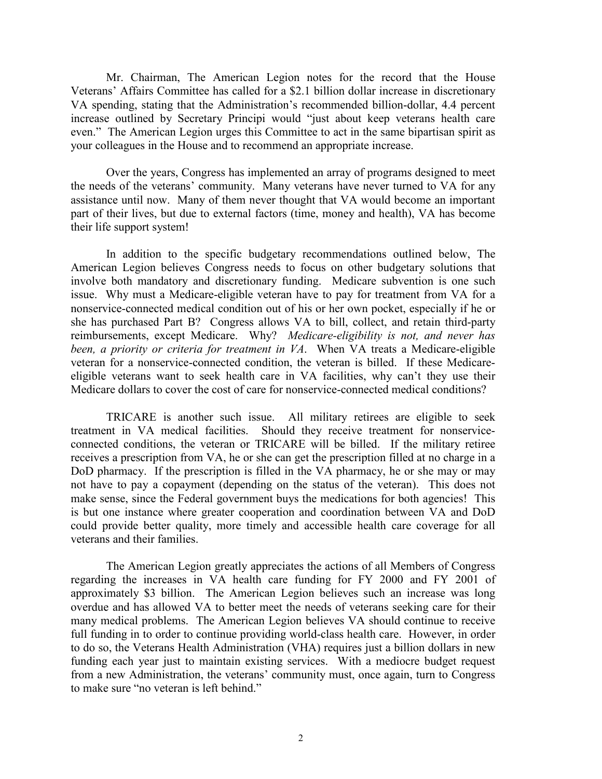Mr. Chairman, The American Legion notes for the record that the House Veterans' Affairs Committee has called for a \$2.1 billion dollar increase in discretionary VA spending, stating that the Administration's recommended billion-dollar, 4.4 percent increase outlined by Secretary Principi would "just about keep veterans health care even." The American Legion urges this Committee to act in the same bipartisan spirit as your colleagues in the House and to recommend an appropriate increase.

Over the years, Congress has implemented an array of programs designed to meet the needs of the veterans' community. Many veterans have never turned to VA for any assistance until now. Many of them never thought that VA would become an important part of their lives, but due to external factors (time, money and health), VA has become their life support system!

In addition to the specific budgetary recommendations outlined below, The American Legion believes Congress needs to focus on other budgetary solutions that involve both mandatory and discretionary funding. Medicare subvention is one such issue. Why must a Medicare-eligible veteran have to pay for treatment from VA for a nonservice-connected medical condition out of his or her own pocket, especially if he or she has purchased Part B? Congress allows VA to bill, collect, and retain third-party reimbursements, except Medicare. Why? *Medicare-eligibility is not, and never has been, a priority or criteria for treatment in VA*. When VA treats a Medicare-eligible veteran for a nonservice-connected condition, the veteran is billed. If these Medicareeligible veterans want to seek health care in VA facilities, why can't they use their Medicare dollars to cover the cost of care for nonservice-connected medical conditions?

TRICARE is another such issue. All military retirees are eligible to seek treatment in VA medical facilities. Should they receive treatment for nonserviceconnected conditions, the veteran or TRICARE will be billed. If the military retiree receives a prescription from VA, he or she can get the prescription filled at no charge in a DoD pharmacy. If the prescription is filled in the VA pharmacy, he or she may or may not have to pay a copayment (depending on the status of the veteran). This does not make sense, since the Federal government buys the medications for both agencies! This is but one instance where greater cooperation and coordination between VA and DoD could provide better quality, more timely and accessible health care coverage for all veterans and their families.

The American Legion greatly appreciates the actions of all Members of Congress regarding the increases in VA health care funding for FY 2000 and FY 2001 of approximately \$3 billion. The American Legion believes such an increase was long overdue and has allowed VA to better meet the needs of veterans seeking care for their many medical problems. The American Legion believes VA should continue to receive full funding in to order to continue providing world-class health care. However, in order to do so, the Veterans Health Administration (VHA) requires just a billion dollars in new funding each year just to maintain existing services. With a mediocre budget request from a new Administration, the veterans' community must, once again, turn to Congress to make sure "no veteran is left behind."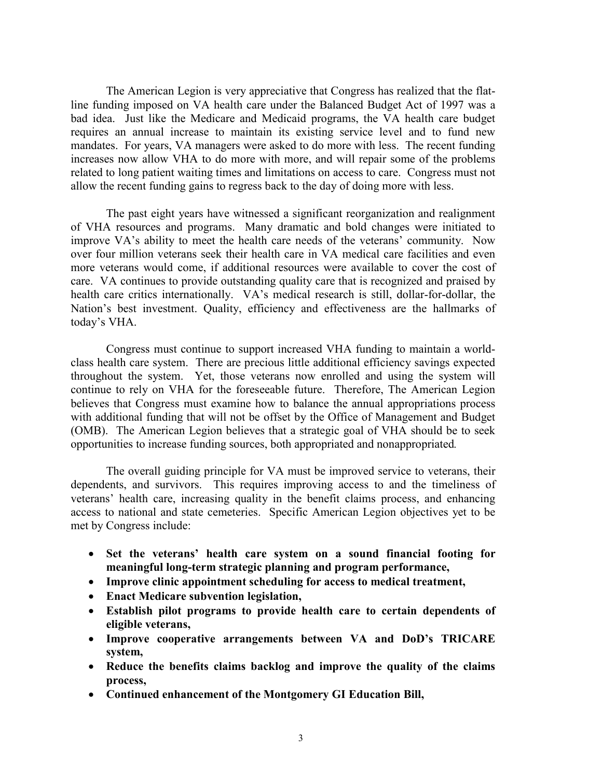The American Legion is very appreciative that Congress has realized that the flatline funding imposed on VA health care under the Balanced Budget Act of 1997 was a bad idea. Just like the Medicare and Medicaid programs, the VA health care budget requires an annual increase to maintain its existing service level and to fund new mandates. For years, VA managers were asked to do more with less. The recent funding increases now allow VHA to do more with more, and will repair some of the problems related to long patient waiting times and limitations on access to care. Congress must not allow the recent funding gains to regress back to the day of doing more with less.

The past eight years have witnessed a significant reorganization and realignment of VHA resources and programs. Many dramatic and bold changes were initiated to improve VA's ability to meet the health care needs of the veterans' community. Now over four million veterans seek their health care in VA medical care facilities and even more veterans would come, if additional resources were available to cover the cost of care. VA continues to provide outstanding quality care that is recognized and praised by health care critics internationally. VA's medical research is still, dollar-for-dollar, the Nation's best investment. Quality, efficiency and effectiveness are the hallmarks of today's VHA.

Congress must continue to support increased VHA funding to maintain a worldclass health care system. There are precious little additional efficiency savings expected throughout the system. Yet, those veterans now enrolled and using the system will continue to rely on VHA for the foreseeable future. Therefore, The American Legion believes that Congress must examine how to balance the annual appropriations process with additional funding that will not be offset by the Office of Management and Budget (OMB). The American Legion believes that a strategic goal of VHA should be to seek opportunities to increase funding sources, both appropriated and nonappropriated*.*

The overall guiding principle for VA must be improved service to veterans, their dependents, and survivors. This requires improving access to and the timeliness of veterans' health care, increasing quality in the benefit claims process, and enhancing access to national and state cemeteries. Specific American Legion objectives yet to be met by Congress include:

- **Set the veterans' health care system on a sound financial footing for meaningful long-term strategic planning and program performance,**
- **Improve clinic appointment scheduling for access to medical treatment,**
- **Enact Medicare subvention legislation,**
- **Establish pilot programs to provide health care to certain dependents of eligible veterans,**
- **Improve cooperative arrangements between VA and DoD's TRICARE system,**
- **Reduce the benefits claims backlog and improve the quality of the claims process,**
- **Continued enhancement of the Montgomery GI Education Bill,**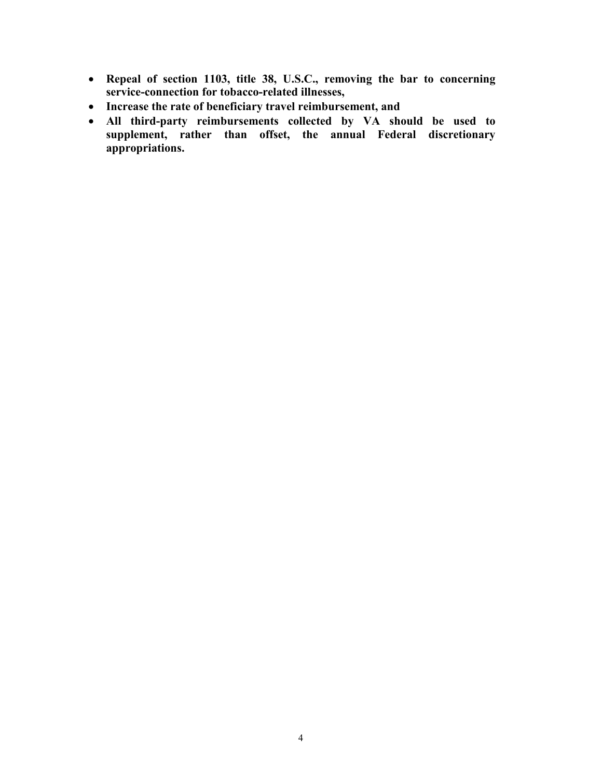- **Repeal of section 1103, title 38, U.S.C., removing the bar to concerning service-connection for tobacco-related illnesses,**
- **Increase the rate of beneficiary travel reimbursement, and**
- **All third-party reimbursements collected by VA should be used to supplement, rather than offset, the annual Federal discretionary appropriations.**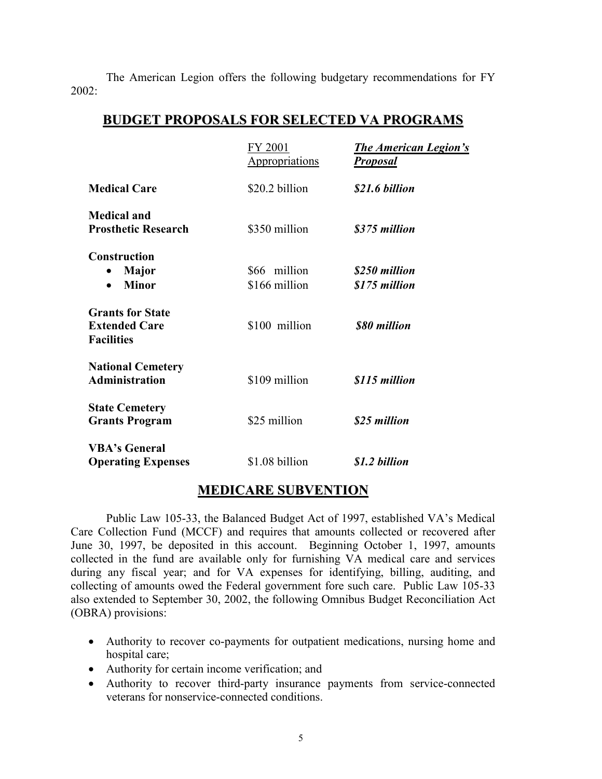The American Legion offers the following budgetary recommendations for FY  $2002 -$ 

# **BUDGET PROPOSALS FOR SELECTED VA PROGRAMS**

|                                                                      | FY 2001<br><b>Appropriations</b> | <b>The American Legion's</b><br><u>Proposal</u> |
|----------------------------------------------------------------------|----------------------------------|-------------------------------------------------|
| <b>Medical Care</b>                                                  | \$20.2 billion                   | \$21.6 billion                                  |
| <b>Medical and</b><br><b>Prosthetic Research</b>                     | \$350 million                    | \$375 million                                   |
| <b>Construction</b><br><b>Major</b><br>$\bullet$<br><b>Minor</b>     | \$66 million<br>\$166 million    | \$250 million<br>\$175 million                  |
| <b>Grants for State</b><br><b>Extended Care</b><br><b>Facilities</b> | \$100 million                    | \$80 million                                    |
| <b>National Cemetery</b><br><b>Administration</b>                    | \$109 million                    | \$115 million                                   |
| <b>State Cemetery</b><br><b>Grants Program</b>                       | \$25 million                     | \$25 million                                    |
| <b>VBA's General</b><br><b>Operating Expenses</b>                    | \$1.08 billion                   | \$1.2 billion                                   |

## **MEDICARE SUBVENTION**

Public Law 105-33, the Balanced Budget Act of 1997, established VA's Medical Care Collection Fund (MCCF) and requires that amounts collected or recovered after June 30, 1997, be deposited in this account. Beginning October 1, 1997, amounts collected in the fund are available only for furnishing VA medical care and services during any fiscal year; and for VA expenses for identifying, billing, auditing, and collecting of amounts owed the Federal government fore such care. Public Law 105-33 also extended to September 30, 2002, the following Omnibus Budget Reconciliation Act (OBRA) provisions:

- Authority to recover co-payments for outpatient medications, nursing home and hospital care;
- Authority for certain income verification; and
- Authority to recover third-party insurance payments from service-connected veterans for nonservice-connected conditions.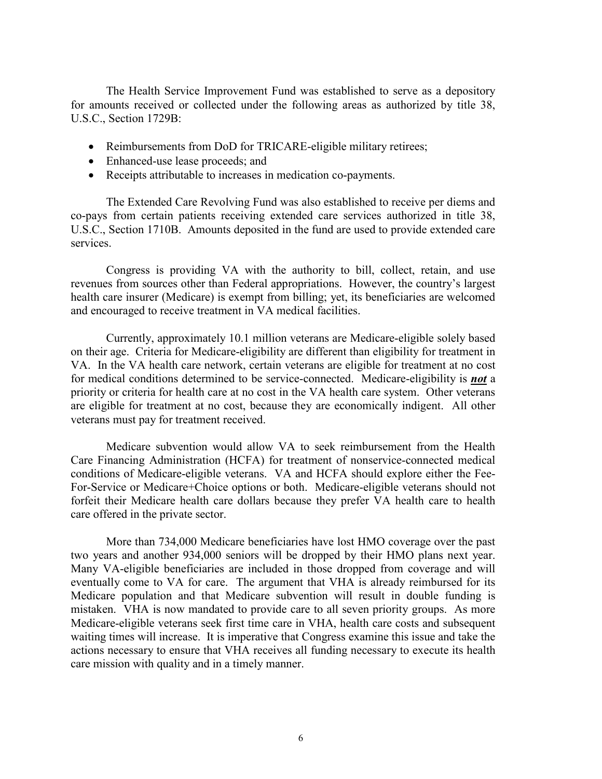The Health Service Improvement Fund was established to serve as a depository for amounts received or collected under the following areas as authorized by title 38, U.S.C., Section 1729B:

- Reimbursements from DoD for TRICARE-eligible military retirees;
- Enhanced-use lease proceeds; and
- Receipts attributable to increases in medication co-payments.

The Extended Care Revolving Fund was also established to receive per diems and co-pays from certain patients receiving extended care services authorized in title 38, U.S.C., Section 1710B. Amounts deposited in the fund are used to provide extended care services.

Congress is providing VA with the authority to bill, collect, retain, and use revenues from sources other than Federal appropriations. However, the country's largest health care insurer (Medicare) is exempt from billing; yet, its beneficiaries are welcomed and encouraged to receive treatment in VA medical facilities.

Currently, approximately 10.1 million veterans are Medicare-eligible solely based on their age. Criteria for Medicare-eligibility are different than eligibility for treatment in VA. In the VA health care network, certain veterans are eligible for treatment at no cost for medical conditions determined to be service-connected. Medicare-eligibility is *not* a priority or criteria for health care at no cost in the VA health care system. Other veterans are eligible for treatment at no cost, because they are economically indigent. All other veterans must pay for treatment received.

Medicare subvention would allow VA to seek reimbursement from the Health Care Financing Administration (HCFA) for treatment of nonservice-connected medical conditions of Medicare-eligible veterans. VA and HCFA should explore either the Fee-For-Service or Medicare+Choice options or both. Medicare-eligible veterans should not forfeit their Medicare health care dollars because they prefer VA health care to health care offered in the private sector.

More than 734,000 Medicare beneficiaries have lost HMO coverage over the past two years and another 934,000 seniors will be dropped by their HMO plans next year. Many VA-eligible beneficiaries are included in those dropped from coverage and will eventually come to VA for care. The argument that VHA is already reimbursed for its Medicare population and that Medicare subvention will result in double funding is mistaken. VHA is now mandated to provide care to all seven priority groups. As more Medicare-eligible veterans seek first time care in VHA, health care costs and subsequent waiting times will increase. It is imperative that Congress examine this issue and take the actions necessary to ensure that VHA receives all funding necessary to execute its health care mission with quality and in a timely manner.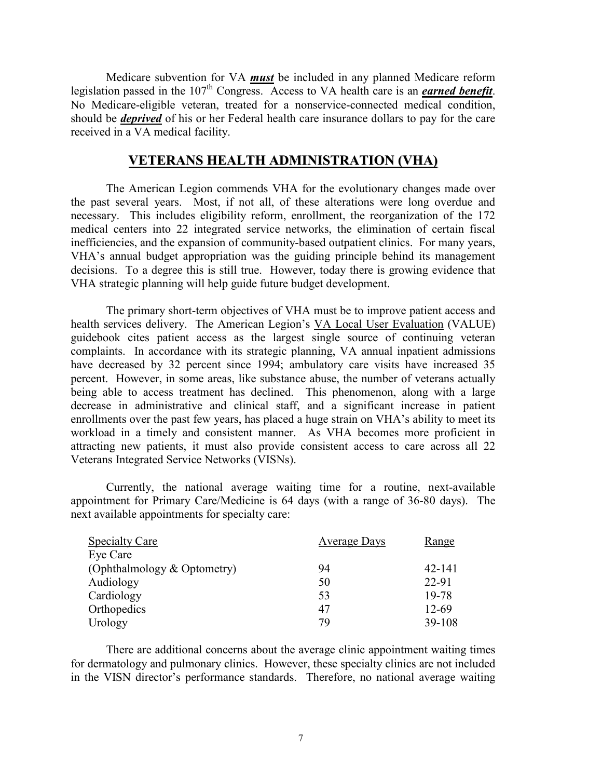Medicare subvention for VA *must* be included in any planned Medicare reform legislation passed in the 107th Congress. Access to VA health care is an *earned benefit*. No Medicare-eligible veteran, treated for a nonservice-connected medical condition, should be *deprived* of his or her Federal health care insurance dollars to pay for the care received in a VA medical facility.

### **VETERANS HEALTH ADMINISTRATION (VHA)**

The American Legion commends VHA for the evolutionary changes made over the past several years. Most, if not all, of these alterations were long overdue and necessary. This includes eligibility reform, enrollment, the reorganization of the 172 medical centers into 22 integrated service networks, the elimination of certain fiscal inefficiencies, and the expansion of community-based outpatient clinics. For many years, VHA's annual budget appropriation was the guiding principle behind its management decisions. To a degree this is still true. However, today there is growing evidence that VHA strategic planning will help guide future budget development.

The primary short-term objectives of VHA must be to improve patient access and health services delivery. The American Legion's VA Local User Evaluation (VALUE) guidebook cites patient access as the largest single source of continuing veteran complaints. In accordance with its strategic planning, VA annual inpatient admissions have decreased by 32 percent since 1994; ambulatory care visits have increased 35 percent. However, in some areas, like substance abuse, the number of veterans actually being able to access treatment has declined. This phenomenon, along with a large decrease in administrative and clinical staff, and a significant increase in patient enrollments over the past few years, has placed a huge strain on VHA's ability to meet its workload in a timely and consistent manner. As VHA becomes more proficient in attracting new patients, it must also provide consistent access to care across all 22 Veterans Integrated Service Networks (VISNs).

Currently, the national average waiting time for a routine, next-available appointment for Primary Care/Medicine is 64 days (with a range of 36-80 days). The next available appointments for specialty care:

| <b>Specialty Care</b>       | <b>Average Days</b> | <u>Range</u> |
|-----------------------------|---------------------|--------------|
| Eye Care                    |                     |              |
| (Ophthalmology & Optometry) | 94                  | 42-141       |
| Audiology                   | 50                  | 22-91        |
| Cardiology                  | 53                  | 19-78        |
| Orthopedics                 | 47                  | 12-69        |
| Urology                     | 79                  | 39-108       |

There are additional concerns about the average clinic appointment waiting times for dermatology and pulmonary clinics. However, these specialty clinics are not included in the VISN director's performance standards. Therefore, no national average waiting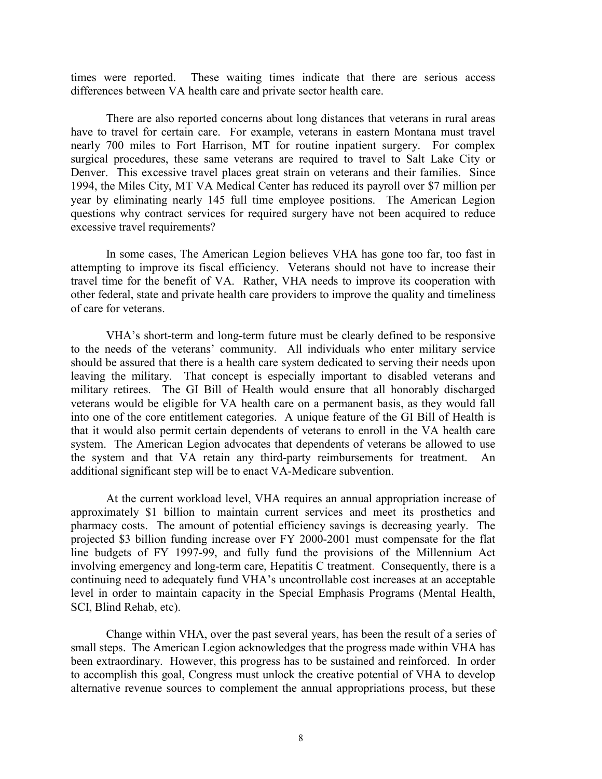times were reported. These waiting times indicate that there are serious access differences between VA health care and private sector health care.

There are also reported concerns about long distances that veterans in rural areas have to travel for certain care. For example, veterans in eastern Montana must travel nearly 700 miles to Fort Harrison, MT for routine inpatient surgery. For complex surgical procedures, these same veterans are required to travel to Salt Lake City or Denver. This excessive travel places great strain on veterans and their families. Since 1994, the Miles City, MT VA Medical Center has reduced its payroll over \$7 million per year by eliminating nearly 145 full time employee positions. The American Legion questions why contract services for required surgery have not been acquired to reduce excessive travel requirements?

In some cases, The American Legion believes VHA has gone too far, too fast in attempting to improve its fiscal efficiency. Veterans should not have to increase their travel time for the benefit of VA. Rather, VHA needs to improve its cooperation with other federal, state and private health care providers to improve the quality and timeliness of care for veterans.

VHA's short-term and long-term future must be clearly defined to be responsive to the needs of the veterans' community. All individuals who enter military service should be assured that there is a health care system dedicated to serving their needs upon leaving the military. That concept is especially important to disabled veterans and military retirees. The GI Bill of Health would ensure that all honorably discharged veterans would be eligible for VA health care on a permanent basis, as they would fall into one of the core entitlement categories. A unique feature of the GI Bill of Health is that it would also permit certain dependents of veterans to enroll in the VA health care system. The American Legion advocates that dependents of veterans be allowed to use the system and that VA retain any third-party reimbursements for treatment. An additional significant step will be to enact VA-Medicare subvention.

At the current workload level, VHA requires an annual appropriation increase of approximately \$1 billion to maintain current services and meet its prosthetics and pharmacy costs. The amount of potential efficiency savings is decreasing yearly. The projected \$3 billion funding increase over FY 2000-2001 must compensate for the flat line budgets of FY 1997-99, and fully fund the provisions of the Millennium Act involving emergency and long-term care, Hepatitis C treatment. Consequently, there is a continuing need to adequately fund VHA's uncontrollable cost increases at an acceptable level in order to maintain capacity in the Special Emphasis Programs (Mental Health, SCI, Blind Rehab, etc).

Change within VHA, over the past several years, has been the result of a series of small steps. The American Legion acknowledges that the progress made within VHA has been extraordinary. However, this progress has to be sustained and reinforced. In order to accomplish this goal, Congress must unlock the creative potential of VHA to develop alternative revenue sources to complement the annual appropriations process, but these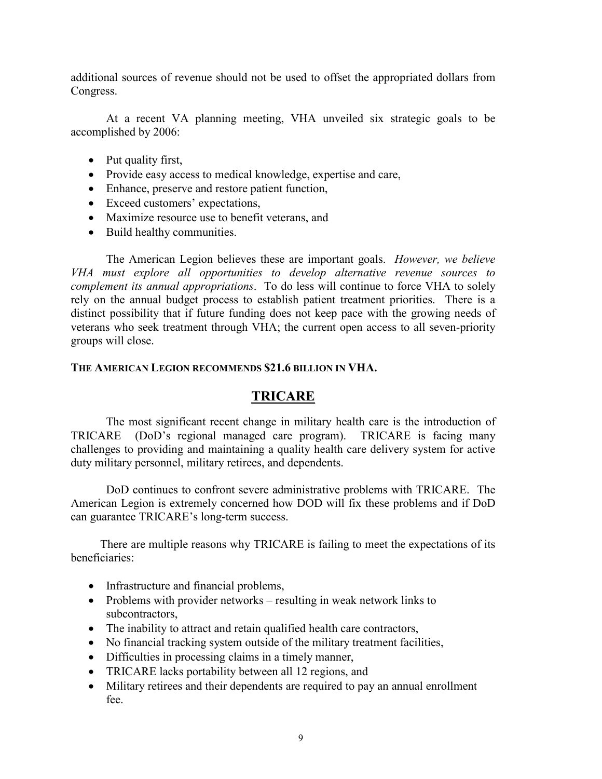additional sources of revenue should not be used to offset the appropriated dollars from Congress.

At a recent VA planning meeting, VHA unveiled six strategic goals to be accomplished by 2006:

- Put quality first,
- Provide easy access to medical knowledge, expertise and care,
- Enhance, preserve and restore patient function,
- Exceed customers' expectations,
- Maximize resource use to benefit veterans, and
- Build healthy communities.

The American Legion believes these are important goals. *However, we believe VHA must explore all opportunities to develop alternative revenue sources to complement its annual appropriations*. To do less will continue to force VHA to solely rely on the annual budget process to establish patient treatment priorities. There is a distinct possibility that if future funding does not keep pace with the growing needs of veterans who seek treatment through VHA; the current open access to all seven-priority groups will close.

## **THE AMERICAN LEGION RECOMMENDS \$21.6 BILLION IN VHA.**

# **TRICARE**

The most significant recent change in military health care is the introduction of TRICARE (DoD's regional managed care program). TRICARE is facing many challenges to providing and maintaining a quality health care delivery system for active duty military personnel, military retirees, and dependents.

DoD continues to confront severe administrative problems with TRICARE. The American Legion is extremely concerned how DOD will fix these problems and if DoD can guarantee TRICARE's long-term success.

 There are multiple reasons why TRICARE is failing to meet the expectations of its beneficiaries:

- Infrastructure and financial problems,
- Problems with provider networks resulting in weak network links to subcontractors,
- The inability to attract and retain qualified health care contractors,
- No financial tracking system outside of the military treatment facilities,
- Difficulties in processing claims in a timely manner,
- TRICARE lacks portability between all 12 regions, and
- Military retirees and their dependents are required to pay an annual enrollment fee.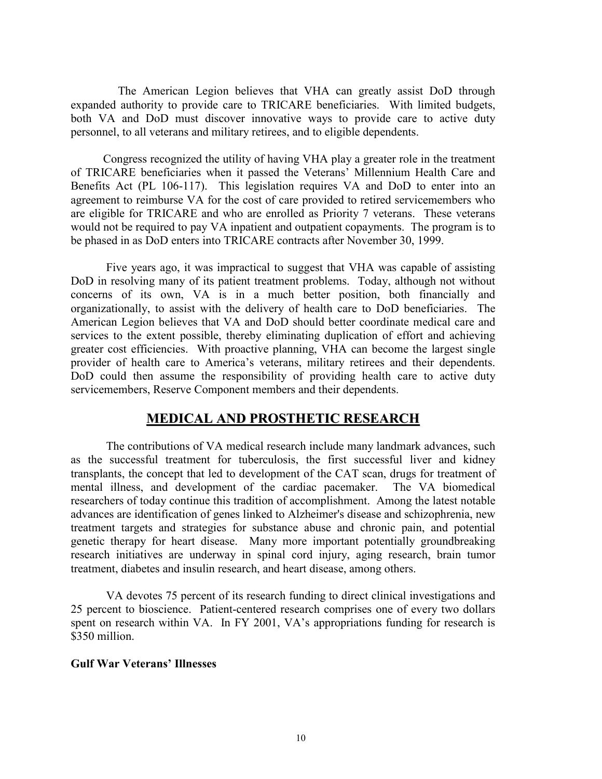The American Legion believes that VHA can greatly assist DoD through expanded authority to provide care to TRICARE beneficiaries. With limited budgets, both VA and DoD must discover innovative ways to provide care to active duty personnel, to all veterans and military retirees, and to eligible dependents.

 Congress recognized the utility of having VHA play a greater role in the treatment of TRICARE beneficiaries when it passed the Veterans' Millennium Health Care and Benefits Act (PL 106-117). This legislation requires VA and DoD to enter into an agreement to reimburse VA for the cost of care provided to retired servicemembers who are eligible for TRICARE and who are enrolled as Priority 7 veterans. These veterans would not be required to pay VA inpatient and outpatient copayments. The program is to be phased in as DoD enters into TRICARE contracts after November 30, 1999.

 Five years ago, it was impractical to suggest that VHA was capable of assisting DoD in resolving many of its patient treatment problems. Today, although not without concerns of its own, VA is in a much better position, both financially and organizationally, to assist with the delivery of health care to DoD beneficiaries. The American Legion believes that VA and DoD should better coordinate medical care and services to the extent possible, thereby eliminating duplication of effort and achieving greater cost efficiencies. With proactive planning, VHA can become the largest single provider of health care to America's veterans, military retirees and their dependents. DoD could then assume the responsibility of providing health care to active duty servicemembers, Reserve Component members and their dependents.

## **MEDICAL AND PROSTHETIC RESEARCH**

The contributions of VA medical research include many landmark advances, such as the successful treatment for tuberculosis, the first successful liver and kidney transplants, the concept that led to development of the CAT scan, drugs for treatment of mental illness, and development of the cardiac pacemaker. The VA biomedical researchers of today continue this tradition of accomplishment. Among the latest notable advances are identification of genes linked to Alzheimer's disease and schizophrenia, new treatment targets and strategies for substance abuse and chronic pain, and potential genetic therapy for heart disease. Many more important potentially groundbreaking research initiatives are underway in spinal cord injury, aging research, brain tumor treatment, diabetes and insulin research, and heart disease, among others.

VA devotes 75 percent of its research funding to direct clinical investigations and 25 percent to bioscience. Patient-centered research comprises one of every two dollars spent on research within VA. In FY 2001, VA's appropriations funding for research is \$350 million.

#### **Gulf War Veterans' Illnesses**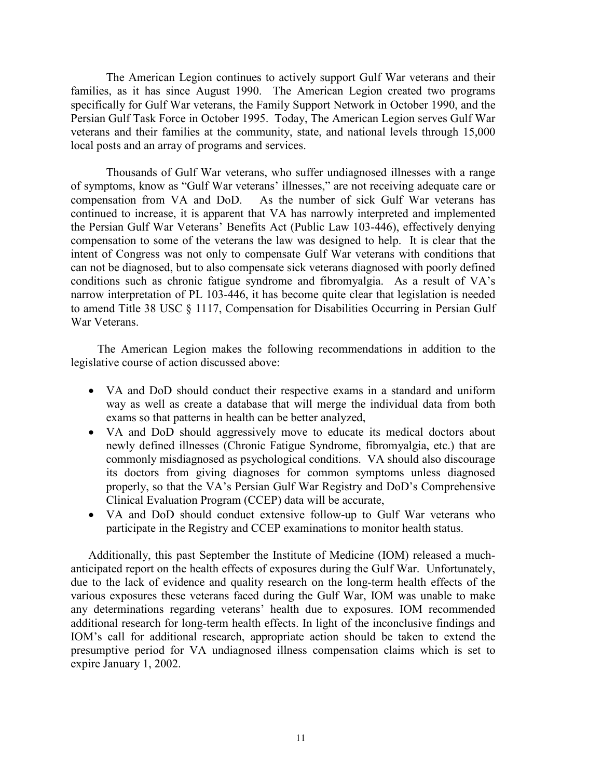The American Legion continues to actively support Gulf War veterans and their families, as it has since August 1990. The American Legion created two programs specifically for Gulf War veterans, the Family Support Network in October 1990, and the Persian Gulf Task Force in October 1995. Today, The American Legion serves Gulf War veterans and their families at the community, state, and national levels through 15,000 local posts and an array of programs and services.

Thousands of Gulf War veterans, who suffer undiagnosed illnesses with a range of symptoms, know as "Gulf War veterans' illnesses," are not receiving adequate care or compensation from VA and DoD. As the number of sick Gulf War veterans has continued to increase, it is apparent that VA has narrowly interpreted and implemented the Persian Gulf War Veterans' Benefits Act (Public Law 103-446), effectively denying compensation to some of the veterans the law was designed to help. It is clear that the intent of Congress was not only to compensate Gulf War veterans with conditions that can not be diagnosed, but to also compensate sick veterans diagnosed with poorly defined conditions such as chronic fatigue syndrome and fibromyalgia. As a result of VA's narrow interpretation of PL 103-446, it has become quite clear that legislation is needed to amend Title 38 USC § 1117, Compensation for Disabilities Occurring in Persian Gulf War Veterans.

 The American Legion makes the following recommendations in addition to the legislative course of action discussed above:

- VA and DoD should conduct their respective exams in a standard and uniform way as well as create a database that will merge the individual data from both exams so that patterns in health can be better analyzed,
- VA and DoD should aggressively move to educate its medical doctors about newly defined illnesses (Chronic Fatigue Syndrome, fibromyalgia, etc.) that are commonly misdiagnosed as psychological conditions. VA should also discourage its doctors from giving diagnoses for common symptoms unless diagnosed properly, so that the VA's Persian Gulf War Registry and DoD's Comprehensive Clinical Evaluation Program (CCEP) data will be accurate,
- VA and DoD should conduct extensive follow-up to Gulf War veterans who participate in the Registry and CCEP examinations to monitor health status.

Additionally, this past September the Institute of Medicine (IOM) released a muchanticipated report on the health effects of exposures during the Gulf War. Unfortunately, due to the lack of evidence and quality research on the long-term health effects of the various exposures these veterans faced during the Gulf War, IOM was unable to make any determinations regarding veterans' health due to exposures. IOM recommended additional research for long-term health effects. In light of the inconclusive findings and IOM's call for additional research, appropriate action should be taken to extend the presumptive period for VA undiagnosed illness compensation claims which is set to expire January 1, 2002.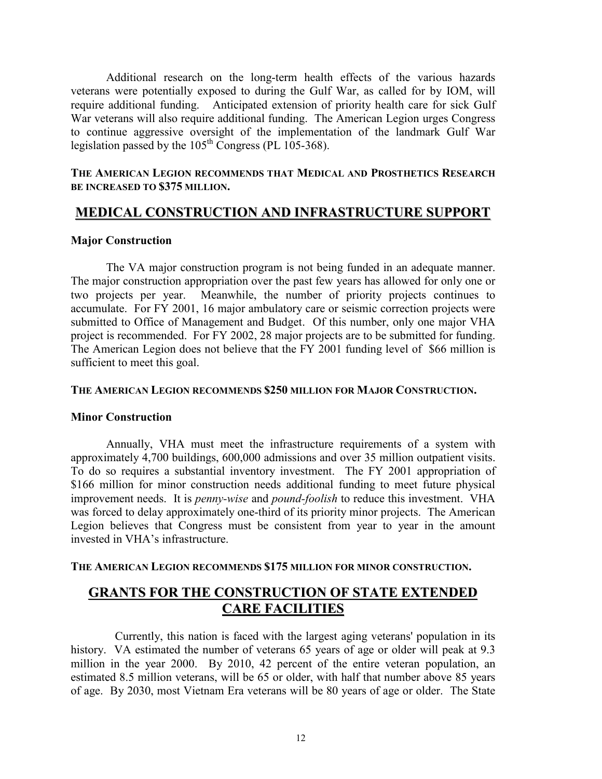Additional research on the long-term health effects of the various hazards veterans were potentially exposed to during the Gulf War, as called for by IOM, will require additional funding. Anticipated extension of priority health care for sick Gulf War veterans will also require additional funding. The American Legion urges Congress to continue aggressive oversight of the implementation of the landmark Gulf War legislation passed by the  $105<sup>th</sup>$  Congress (PL 105-368).

### **THE AMERICAN LEGION RECOMMENDS THAT MEDICAL AND PROSTHETICS RESEARCH BE INCREASED TO \$375 MILLION.**

# **MEDICAL CONSTRUCTION AND INFRASTRUCTURE SUPPORT**

#### **Major Construction**

The VA major construction program is not being funded in an adequate manner. The major construction appropriation over the past few years has allowed for only one or two projects per year. Meanwhile, the number of priority projects continues to accumulate. For FY 2001, 16 major ambulatory care or seismic correction projects were submitted to Office of Management and Budget. Of this number, only one major VHA project is recommended. For FY 2002, 28 major projects are to be submitted for funding. The American Legion does not believe that the FY 2001 funding level of \$66 million is sufficient to meet this goal.

#### **THE AMERICAN LEGION RECOMMENDS \$250 MILLION FOR MAJOR CONSTRUCTION.**

#### **Minor Construction**

Annually, VHA must meet the infrastructure requirements of a system with approximately 4,700 buildings, 600,000 admissions and over 35 million outpatient visits. To do so requires a substantial inventory investment. The FY 2001 appropriation of \$166 million for minor construction needs additional funding to meet future physical improvement needs. It is *penny-wise* and *pound-foolish* to reduce this investment. VHA was forced to delay approximately one-third of its priority minor projects. The American Legion believes that Congress must be consistent from year to year in the amount invested in VHA's infrastructure.

#### **THE AMERICAN LEGION RECOMMENDS \$175 MILLION FOR MINOR CONSTRUCTION.**

# **GRANTS FOR THE CONSTRUCTION OF STATE EXTENDED CARE FACILITIES**

 Currently, this nation is faced with the largest aging veterans' population in its history. VA estimated the number of veterans 65 years of age or older will peak at 9.3 million in the year 2000. By 2010, 42 percent of the entire veteran population, an estimated 8.5 million veterans, will be 65 or older, with half that number above 85 years of age. By 2030, most Vietnam Era veterans will be 80 years of age or older. The State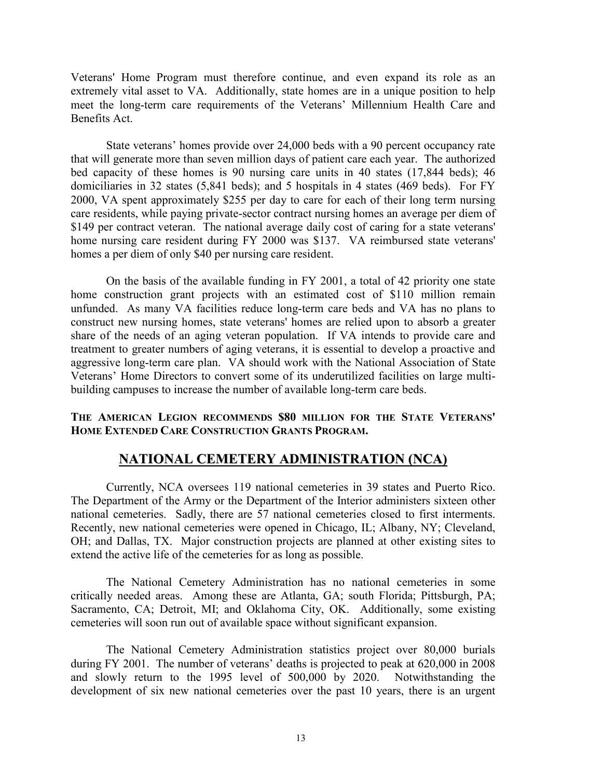Veterans' Home Program must therefore continue, and even expand its role as an extremely vital asset to VA. Additionally, state homes are in a unique position to help meet the long-term care requirements of the Veterans' Millennium Health Care and Benefits Act.

State veterans' homes provide over 24,000 beds with a 90 percent occupancy rate that will generate more than seven million days of patient care each year. The authorized bed capacity of these homes is 90 nursing care units in 40 states (17,844 beds); 46 domiciliaries in 32 states (5,841 beds); and 5 hospitals in 4 states (469 beds). For FY 2000, VA spent approximately \$255 per day to care for each of their long term nursing care residents, while paying private-sector contract nursing homes an average per diem of \$149 per contract veteran. The national average daily cost of caring for a state veterans' home nursing care resident during FY 2000 was \$137. VA reimbursed state veterans' homes a per diem of only \$40 per nursing care resident.

On the basis of the available funding in FY 2001, a total of 42 priority one state home construction grant projects with an estimated cost of \$110 million remain unfunded. As many VA facilities reduce long-term care beds and VA has no plans to construct new nursing homes, state veterans' homes are relied upon to absorb a greater share of the needs of an aging veteran population. If VA intends to provide care and treatment to greater numbers of aging veterans, it is essential to develop a proactive and aggressive long-term care plan. VA should work with the National Association of State Veterans' Home Directors to convert some of its underutilized facilities on large multibuilding campuses to increase the number of available long-term care beds.

### **THE AMERICAN LEGION RECOMMENDS \$80 MILLION FOR THE STATE VETERANS' HOME EXTENDED CARE CONSTRUCTION GRANTS PROGRAM.**

# **NATIONAL CEMETERY ADMINISTRATION (NCA)**

Currently, NCA oversees 119 national cemeteries in 39 states and Puerto Rico. The Department of the Army or the Department of the Interior administers sixteen other national cemeteries. Sadly, there are 57 national cemeteries closed to first interments. Recently, new national cemeteries were opened in Chicago, IL; Albany, NY; Cleveland, OH; and Dallas, TX. Major construction projects are planned at other existing sites to extend the active life of the cemeteries for as long as possible.

The National Cemetery Administration has no national cemeteries in some critically needed areas. Among these are Atlanta, GA; south Florida; Pittsburgh, PA; Sacramento, CA; Detroit, MI; and Oklahoma City, OK. Additionally, some existing cemeteries will soon run out of available space without significant expansion.

The National Cemetery Administration statistics project over 80,000 burials during FY 2001. The number of veterans' deaths is projected to peak at 620,000 in 2008 and slowly return to the 1995 level of 500,000 by 2020. Notwithstanding the development of six new national cemeteries over the past 10 years, there is an urgent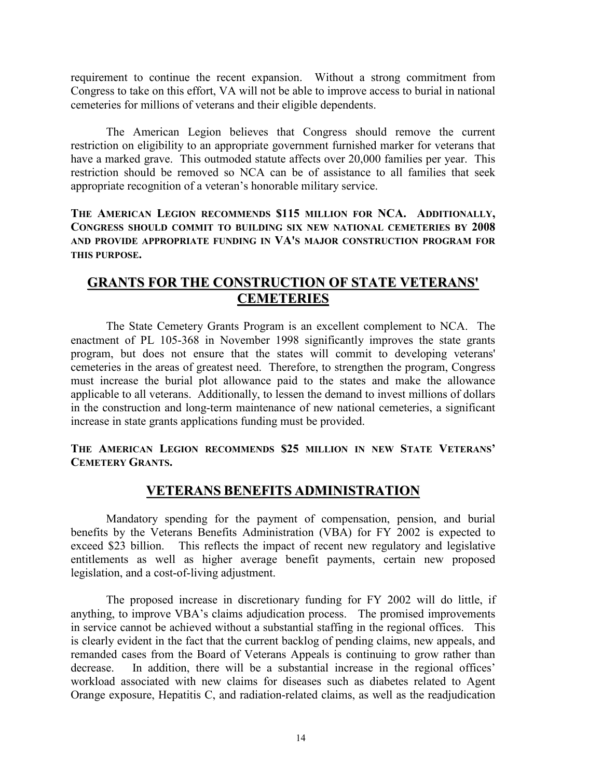requirement to continue the recent expansion. Without a strong commitment from Congress to take on this effort, VA will not be able to improve access to burial in national cemeteries for millions of veterans and their eligible dependents.

The American Legion believes that Congress should remove the current restriction on eligibility to an appropriate government furnished marker for veterans that have a marked grave. This outmoded statute affects over 20,000 families per year. This restriction should be removed so NCA can be of assistance to all families that seek appropriate recognition of a veteran's honorable military service.

**THE AMERICAN LEGION RECOMMENDS \$115 MILLION FOR NCA. ADDITIONALLY, CONGRESS SHOULD COMMIT TO BUILDING SIX NEW NATIONAL CEMETERIES BY 2008 AND PROVIDE APPROPRIATE FUNDING IN VA'S MAJOR CONSTRUCTION PROGRAM FOR THIS PURPOSE.** 

# **GRANTS FOR THE CONSTRUCTION OF STATE VETERANS' CEMETERIES**

The State Cemetery Grants Program is an excellent complement to NCA. The enactment of PL 105-368 in November 1998 significantly improves the state grants program, but does not ensure that the states will commit to developing veterans' cemeteries in the areas of greatest need. Therefore, to strengthen the program, Congress must increase the burial plot allowance paid to the states and make the allowance applicable to all veterans. Additionally, to lessen the demand to invest millions of dollars in the construction and long-term maintenance of new national cemeteries, a significant increase in state grants applications funding must be provided.

### **THE AMERICAN LEGION RECOMMENDS \$25 MILLION IN NEW STATE VETERANS' CEMETERY GRANTS.**

# **VETERANS BENEFITS ADMINISTRATION**

Mandatory spending for the payment of compensation, pension, and burial benefits by the Veterans Benefits Administration (VBA) for FY 2002 is expected to exceed \$23 billion. This reflects the impact of recent new regulatory and legislative entitlements as well as higher average benefit payments, certain new proposed legislation, and a cost-of-living adjustment.

The proposed increase in discretionary funding for FY 2002 will do little, if anything, to improve VBA's claims adjudication process. The promised improvements in service cannot be achieved without a substantial staffing in the regional offices. This is clearly evident in the fact that the current backlog of pending claims, new appeals, and remanded cases from the Board of Veterans Appeals is continuing to grow rather than decrease. In addition, there will be a substantial increase in the regional offices' workload associated with new claims for diseases such as diabetes related to Agent Orange exposure, Hepatitis C, and radiation-related claims, as well as the readjudication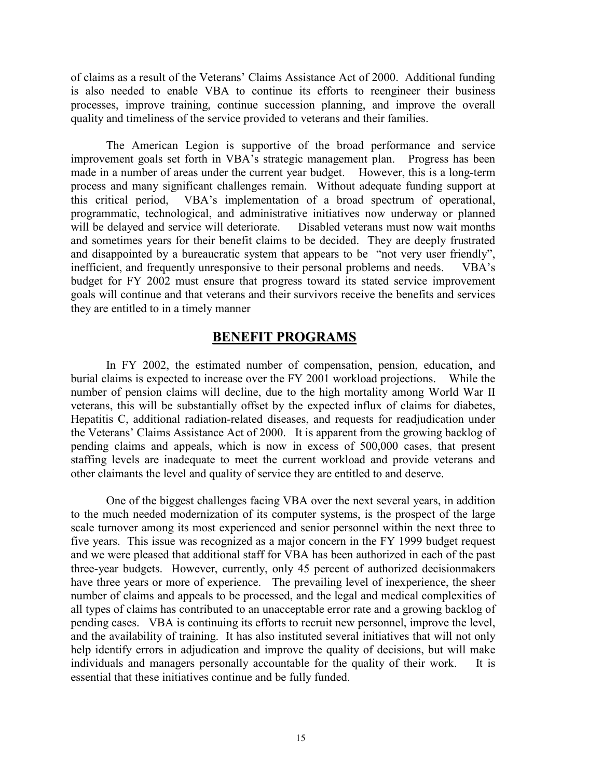of claims as a result of the Veterans' Claims Assistance Act of 2000. Additional funding is also needed to enable VBA to continue its efforts to reengineer their business processes, improve training, continue succession planning, and improve the overall quality and timeliness of the service provided to veterans and their families.

The American Legion is supportive of the broad performance and service improvement goals set forth in VBA's strategic management plan. Progress has been made in a number of areas under the current year budget. However, this is a long-term process and many significant challenges remain. Without adequate funding support at this critical period, VBA's implementation of a broad spectrum of operational, programmatic, technological, and administrative initiatives now underway or planned will be delayed and service will deteriorate. Disabled veterans must now wait months and sometimes years for their benefit claims to be decided. They are deeply frustrated and disappointed by a bureaucratic system that appears to be "not very user friendly", inefficient, and frequently unresponsive to their personal problems and needs. VBA's budget for FY 2002 must ensure that progress toward its stated service improvement goals will continue and that veterans and their survivors receive the benefits and services they are entitled to in a timely manner

### **BENEFIT PROGRAMS**

In FY 2002, the estimated number of compensation, pension, education, and burial claims is expected to increase over the FY 2001 workload projections. While the number of pension claims will decline, due to the high mortality among World War II veterans, this will be substantially offset by the expected influx of claims for diabetes, Hepatitis C, additional radiation-related diseases, and requests for readjudication under the Veterans' Claims Assistance Act of 2000. It is apparent from the growing backlog of pending claims and appeals, which is now in excess of 500,000 cases, that present staffing levels are inadequate to meet the current workload and provide veterans and other claimants the level and quality of service they are entitled to and deserve.

One of the biggest challenges facing VBA over the next several years, in addition to the much needed modernization of its computer systems, is the prospect of the large scale turnover among its most experienced and senior personnel within the next three to five years. This issue was recognized as a major concern in the FY 1999 budget request and we were pleased that additional staff for VBA has been authorized in each of the past three-year budgets. However, currently, only 45 percent of authorized decisionmakers have three years or more of experience. The prevailing level of inexperience, the sheer number of claims and appeals to be processed, and the legal and medical complexities of all types of claims has contributed to an unacceptable error rate and a growing backlog of pending cases. VBA is continuing its efforts to recruit new personnel, improve the level, and the availability of training. It has also instituted several initiatives that will not only help identify errors in adjudication and improve the quality of decisions, but will make individuals and managers personally accountable for the quality of their work. It is essential that these initiatives continue and be fully funded.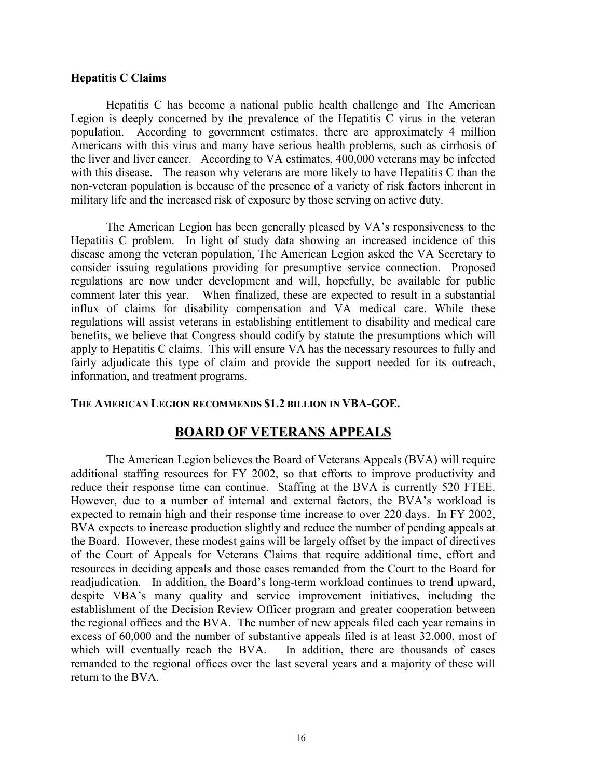#### **Hepatitis C Claims**

Hepatitis C has become a national public health challenge and The American Legion is deeply concerned by the prevalence of the Hepatitis C virus in the veteran population. According to government estimates, there are approximately 4 million Americans with this virus and many have serious health problems, such as cirrhosis of the liver and liver cancer. According to VA estimates, 400,000 veterans may be infected with this disease. The reason why veterans are more likely to have Hepatitis C than the non-veteran population is because of the presence of a variety of risk factors inherent in military life and the increased risk of exposure by those serving on active duty.

The American Legion has been generally pleased by VA's responsiveness to the Hepatitis C problem. In light of study data showing an increased incidence of this disease among the veteran population, The American Legion asked the VA Secretary to consider issuing regulations providing for presumptive service connection. Proposed regulations are now under development and will, hopefully, be available for public comment later this year. When finalized, these are expected to result in a substantial influx of claims for disability compensation and VA medical care. While these regulations will assist veterans in establishing entitlement to disability and medical care benefits, we believe that Congress should codify by statute the presumptions which will apply to Hepatitis C claims. This will ensure VA has the necessary resources to fully and fairly adjudicate this type of claim and provide the support needed for its outreach, information, and treatment programs.

#### **THE AMERICAN LEGION RECOMMENDS \$1.2 BILLION IN VBA-GOE.**

## **BOARD OF VETERANS APPEALS**

The American Legion believes the Board of Veterans Appeals (BVA) will require additional staffing resources for FY 2002, so that efforts to improve productivity and reduce their response time can continue. Staffing at the BVA is currently 520 FTEE. However, due to a number of internal and external factors, the BVA's workload is expected to remain high and their response time increase to over 220 days. In FY 2002, BVA expects to increase production slightly and reduce the number of pending appeals at the Board. However, these modest gains will be largely offset by the impact of directives of the Court of Appeals for Veterans Claims that require additional time, effort and resources in deciding appeals and those cases remanded from the Court to the Board for readjudication. In addition, the Board's long-term workload continues to trend upward, despite VBA's many quality and service improvement initiatives, including the establishment of the Decision Review Officer program and greater cooperation between the regional offices and the BVA. The number of new appeals filed each year remains in excess of 60,000 and the number of substantive appeals filed is at least 32,000, most of which will eventually reach the BVA. In addition, there are thousands of cases remanded to the regional offices over the last several years and a majority of these will return to the BVA.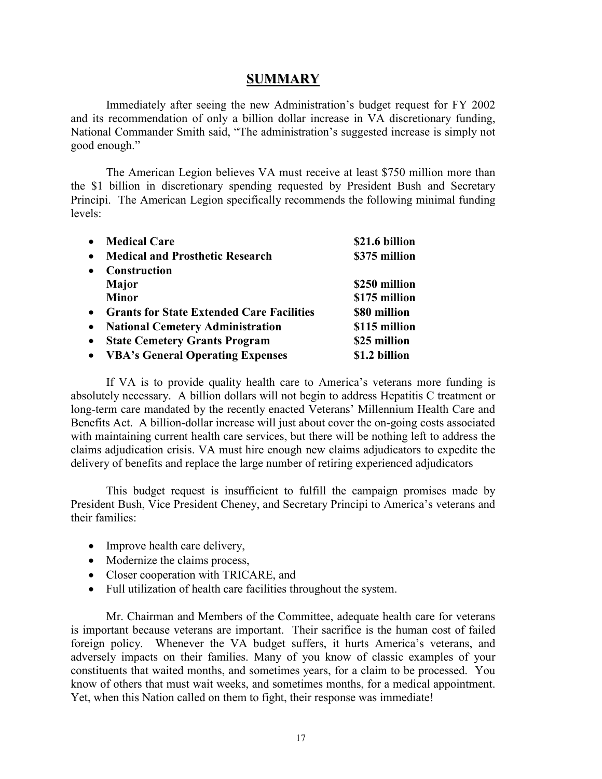# **SUMMARY**

Immediately after seeing the new Administration's budget request for FY 2002 and its recommendation of only a billion dollar increase in VA discretionary funding, National Commander Smith said, "The administration's suggested increase is simply not good enough."

The American Legion believes VA must receive at least \$750 million more than the \$1 billion in discretionary spending requested by President Bush and Secretary Principi. The American Legion specifically recommends the following minimal funding levels:

| $\bullet$ | <b>Medical Care</b>                              | \$21.6 billion |
|-----------|--------------------------------------------------|----------------|
| $\bullet$ | <b>Medical and Prosthetic Research</b>           | \$375 million  |
| $\bullet$ | <b>Construction</b>                              |                |
|           | <b>Major</b>                                     | \$250 million  |
|           | <b>Minor</b>                                     | \$175 million  |
| $\bullet$ | <b>Grants for State Extended Care Facilities</b> | \$80 million   |
| $\bullet$ | <b>National Cemetery Administration</b>          | \$115 million  |
| $\bullet$ | <b>State Cemetery Grants Program</b>             | \$25 million   |
| $\bullet$ | <b>VBA's General Operating Expenses</b>          | \$1.2 billion  |

If VA is to provide quality health care to America's veterans more funding is absolutely necessary. A billion dollars will not begin to address Hepatitis C treatment or long-term care mandated by the recently enacted Veterans' Millennium Health Care and Benefits Act. A billion-dollar increase will just about cover the on-going costs associated with maintaining current health care services, but there will be nothing left to address the claims adjudication crisis. VA must hire enough new claims adjudicators to expedite the delivery of benefits and replace the large number of retiring experienced adjudicators

This budget request is insufficient to fulfill the campaign promises made by President Bush, Vice President Cheney, and Secretary Principi to America's veterans and their families:

- Improve health care delivery,
- Modernize the claims process,
- Closer cooperation with TRICARE, and
- Full utilization of health care facilities throughout the system.

Mr. Chairman and Members of the Committee, adequate health care for veterans is important because veterans are important. Their sacrifice is the human cost of failed foreign policy. Whenever the VA budget suffers, it hurts America's veterans, and adversely impacts on their families. Many of you know of classic examples of your constituents that waited months, and sometimes years, for a claim to be processed. You know of others that must wait weeks, and sometimes months, for a medical appointment. Yet, when this Nation called on them to fight, their response was immediate!